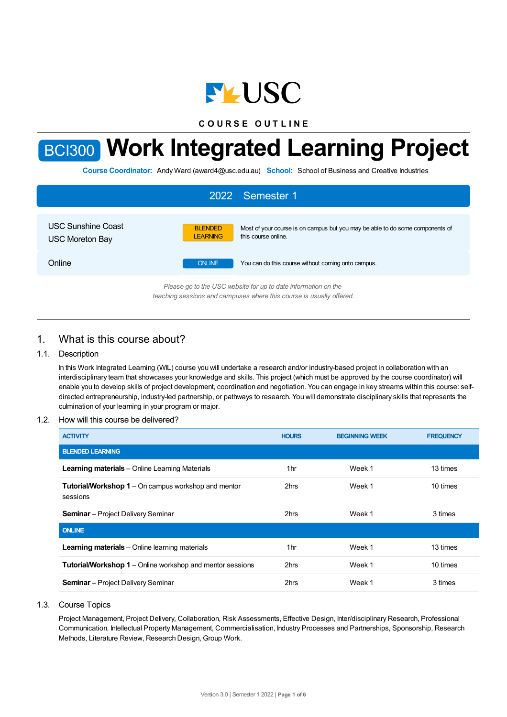

**C O U R S E O U T L I N E**

# BCI300 **Work Integrated Learning Project**

**Course Coordinator:** Andy Ward (award4@usc.edu.au) **School:** School of Business and Creative Industries

| 2022 Semester 1                              |                                   |                                                                                                      |  |  |
|----------------------------------------------|-----------------------------------|------------------------------------------------------------------------------------------------------|--|--|
| USC Sunshine Coast<br><b>USC Moreton Bay</b> | <b>BLENDED</b><br><b>LEARNING</b> | Most of your course is on campus but you may be able to do some components of<br>this course online. |  |  |
| Online                                       | <b>ONLINE</b>                     | You can do this course without coming onto campus.                                                   |  |  |
|                                              |                                   | Please an to the LISC uphsite for up to date information on the                                      |  |  |

*Please go to the USC website for up to date information on the teaching sessions and campuses where this course is usually offered.*

# 1. What is this course about?

## 1.1. Description

In this Work Integrated Learning (WIL) course you will undertake a research and/or industry-based project in collaboration with an interdisciplinary team that showcases your knowledge and skills. This project (which must be approved by the course coordinator) will enable you to develop skills of project development, coordination and negotiation. You can engage in key streams within this course: selfdirected entrepreneurship, industry-led partnership, or pathways to research. You will demonstrate disciplinary skills that represents the culmination of your learning in your program or major.

## 1.2. How will this course be delivered?

| <b>ACTIVITY</b>                                                        | <b>HOURS</b> | <b>BEGINNING WEEK</b> | <b>FREQUENCY</b> |
|------------------------------------------------------------------------|--------------|-----------------------|------------------|
| <b>BLENDED LEARNING</b>                                                |              |                       |                  |
| <b>Learning materials</b> – Online Learning Materials                  | 1hr          | Week 1                | 13 times         |
| <b>Tutorial/Workshop 1</b> – On campus workshop and mentor<br>sessions | 2hrs         | Week 1                | 10 times         |
| <b>Seminar</b> – Project Delivery Seminar                              | 2hrs         | Week 1                | 3 times          |
| <b>ONLINE</b>                                                          |              |                       |                  |
| <b>Learning materials</b> – Online learning materials                  | 1hr          | Week 1                | 13 times         |
| <b>Tutorial/Workshop 1</b> – Online workshop and mentor sessions       | 2hrs         | Week 1                | 10 times         |
| <b>Seminar</b> – Project Delivery Seminar                              | 2hrs         | Week 1                | 3 times          |

## 1.3. Course Topics

Project Management, Project Delivery, Collaboration, Risk Assessments, Effective Design, Inter/disciplinary Research, Professional Communication, Intellectual Property Management, Commercialisation, Industry Processes and Partnerships, Sponsorship, Research Methods, Literature Review, Research Design, Group Work.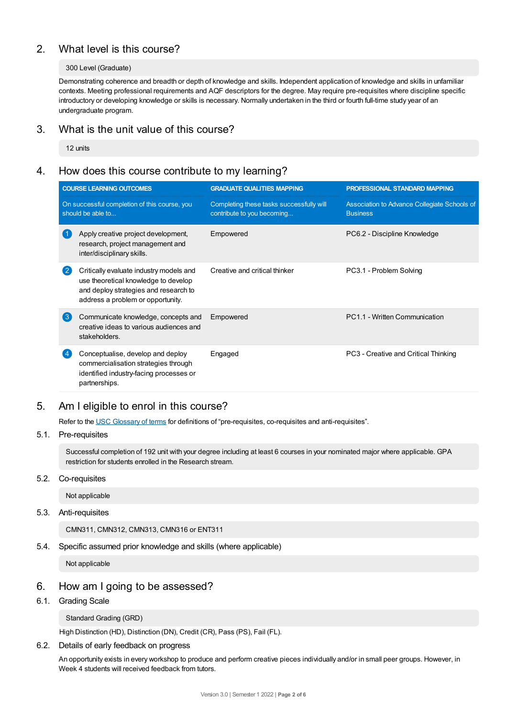# 2. What level is this course?

## 300 Level (Graduate)

Demonstrating coherence and breadth or depth of knowledge and skills. Independent application of knowledge and skills in unfamiliar contexts. Meeting professional requirements and AQF descriptors for the degree. May require pre-requisites where discipline specific introductory or developing knowledge or skills is necessary. Normally undertaken in the third or fourth full-time study year of an undergraduate program.

# 3. What is the unit value of this course?

12 units

# 4. How does this course contribute to my learning?

|                                                                   | <b>COURSE LEARNING OUTCOMES</b>                                                                                                                               | <b>GRADUATE QUALITIES MAPPING</b>                                      | PROFESSIONAL STANDARD MAPPING                                   |  |
|-------------------------------------------------------------------|---------------------------------------------------------------------------------------------------------------------------------------------------------------|------------------------------------------------------------------------|-----------------------------------------------------------------|--|
| On successful completion of this course, you<br>should be able to |                                                                                                                                                               | Completing these tasks successfully will<br>contribute to you becoming | Association to Advance Collegiate Schools of<br><b>Business</b> |  |
|                                                                   | Apply creative project development,<br>research, project management and<br>inter/disciplinary skills.                                                         | Empowered                                                              | PC6.2 - Discipline Knowledge                                    |  |
| 2                                                                 | Critically evaluate industry models and<br>use theoretical knowledge to develop<br>and deploy strategies and research to<br>address a problem or opportunity. | Creative and critical thinker                                          | PC3.1 - Problem Solving                                         |  |
| 3                                                                 | Communicate knowledge, concepts and<br>creative ideas to various audiences and<br>stakeholders.                                                               | Empowered                                                              | PC1.1 - Written Communication                                   |  |
|                                                                   | Conceptualise, develop and deploy<br>commercialisation strategies through<br>identified industry-facing processes or<br>partnerships.                         | Engaged                                                                | PC3 - Creative and Critical Thinking                            |  |

# 5. Am Ieligible to enrol in this course?

Refer to the USC [Glossary](https://www.usc.edu.au/about/policies-and-procedures/glossary-of-terms-for-policy-and-procedures) of terms for definitions of "pre-requisites, co-requisites and anti-requisites".

## 5.1. Pre-requisites

Successful completion of 192 unit with your degree including at least 6 courses in your nominated major where applicable. GPA restriction for students enrolled in the Research stream.

## 5.2. Co-requisites

Not applicable

5.3. Anti-requisites

CMN311, CMN312, CMN313, CMN316 or ENT311

5.4. Specific assumed prior knowledge and skills (where applicable)

Not applicable

# 6. How am Igoing to be assessed?

6.1. Grading Scale

## Standard Grading (GRD)

High Distinction (HD), Distinction (DN), Credit (CR), Pass (PS), Fail (FL).

6.2. Details of early feedback on progress

An opportunity exists in every workshop to produce and perform creative pieces individually and/or in small peer groups. However, in Week 4 students will received feedback from tutors.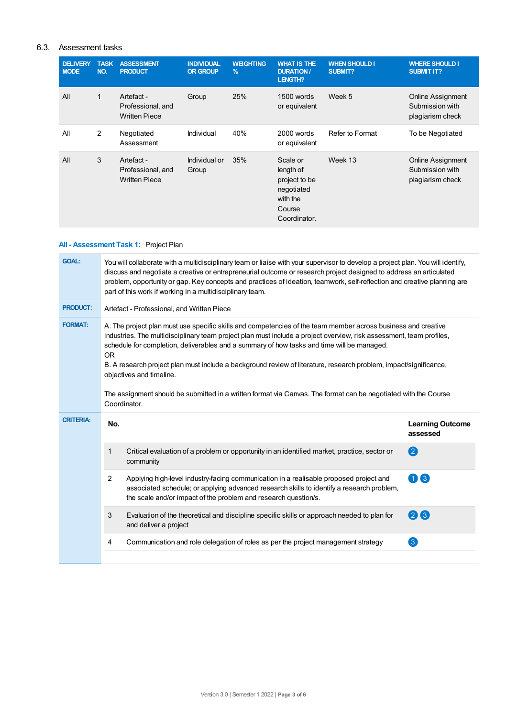## 6.3. Assessment tasks

| <b>DELIVERY</b><br><b>MODE</b> | <b>TASK</b><br>NO. | <b>ASSESSMENT</b><br><b>PRODUCT</b>                     | <b>INDIVIDUAL</b><br><b>OR GROUP</b> | <b>WEIGHTING</b><br>$\%$ | <b>WHAT IS THE</b><br><b>DURATION /</b><br>LENGTH?                                         | <b>WHEN SHOULD I</b><br>SUBMIT? | <b>WHERE SHOULD I</b><br><b>SUBMIT IT?</b>                      |
|--------------------------------|--------------------|---------------------------------------------------------|--------------------------------------|--------------------------|--------------------------------------------------------------------------------------------|---------------------------------|-----------------------------------------------------------------|
| All                            | 1                  | Artefact -<br>Professional, and<br><b>Written Piece</b> | Group                                | 25%                      | 1500 words<br>or equivalent                                                                | Week 5                          | <b>Online Assignment</b><br>Submission with<br>plagiarism check |
| All                            | 2                  | Negotiated<br>Assessment                                | Individual                           | 40%                      | 2000 words<br>or equivalent                                                                | Refer to Format                 | To be Negotiated                                                |
| All                            | 3                  | Artefact -<br>Professional, and<br><b>Written Piece</b> | Individual or<br>Group               | 35%                      | Scale or<br>length of<br>project to be<br>negotiated<br>with the<br>Course<br>Coordinator. | Week 13                         | Online Assignment<br>Submission with<br>plagiarism check        |

# **All - Assessment Task 1:** Project Plan

| <b>GOAL:</b>     | You will collaborate with a multidisciplinary team or liaise with your supervisor to develop a project plan. You will identify,<br>discuss and negotiate a creative or entrepreneurial outcome or research project designed to address an articulated<br>problem, opportunity or gap. Key concepts and practices of ideation, teamwork, self-reflection and creative planning are<br>part of this work if working in a multidisciplinary team.                                                                                                                                                                       |                                                                                                                                                                                                                                                        |                                     |  |  |  |
|------------------|----------------------------------------------------------------------------------------------------------------------------------------------------------------------------------------------------------------------------------------------------------------------------------------------------------------------------------------------------------------------------------------------------------------------------------------------------------------------------------------------------------------------------------------------------------------------------------------------------------------------|--------------------------------------------------------------------------------------------------------------------------------------------------------------------------------------------------------------------------------------------------------|-------------------------------------|--|--|--|
| <b>PRODUCT:</b>  | Artefact - Professional, and Written Piece                                                                                                                                                                                                                                                                                                                                                                                                                                                                                                                                                                           |                                                                                                                                                                                                                                                        |                                     |  |  |  |
| <b>FORMAT:</b>   | A. The project plan must use specific skills and competencies of the team member across business and creative<br>industries. The multidisciplinary team project plan must include a project overview, risk assessment, team profiles,<br>schedule for completion, deliverables and a summary of how tasks and time will be managed.<br><b>OR</b><br>B. A research project plan must include a background review of literature, research problem, impact/significance,<br>objectives and timeline.<br>The assignment should be submitted in a written format via Canvas. The format can be negotiated with the Course |                                                                                                                                                                                                                                                        |                                     |  |  |  |
|                  | Coordinator.                                                                                                                                                                                                                                                                                                                                                                                                                                                                                                                                                                                                         |                                                                                                                                                                                                                                                        |                                     |  |  |  |
|                  |                                                                                                                                                                                                                                                                                                                                                                                                                                                                                                                                                                                                                      |                                                                                                                                                                                                                                                        |                                     |  |  |  |
| <b>CRITERIA:</b> | No.                                                                                                                                                                                                                                                                                                                                                                                                                                                                                                                                                                                                                  |                                                                                                                                                                                                                                                        | <b>Learning Outcome</b><br>assessed |  |  |  |
|                  | 1                                                                                                                                                                                                                                                                                                                                                                                                                                                                                                                                                                                                                    | Critical evaluation of a problem or opportunity in an identified market, practice, sector or<br>community                                                                                                                                              | 2                                   |  |  |  |
|                  | 2                                                                                                                                                                                                                                                                                                                                                                                                                                                                                                                                                                                                                    | Applying high-level industry-facing communication in a realisable proposed project and<br>associated schedule; or applying advanced research skills to identify a research problem,<br>the scale and/or impact of the problem and research question/s. | 3<br>0                              |  |  |  |
|                  | 3                                                                                                                                                                                                                                                                                                                                                                                                                                                                                                                                                                                                                    | Evaluation of the theoretical and discipline specific skills or approach needed to plan for<br>and deliver a project                                                                                                                                   | $(2)$ $(3)$                         |  |  |  |
|                  | 4                                                                                                                                                                                                                                                                                                                                                                                                                                                                                                                                                                                                                    | Communication and role delegation of roles as per the project management strategy                                                                                                                                                                      | $\left[3\right]$                    |  |  |  |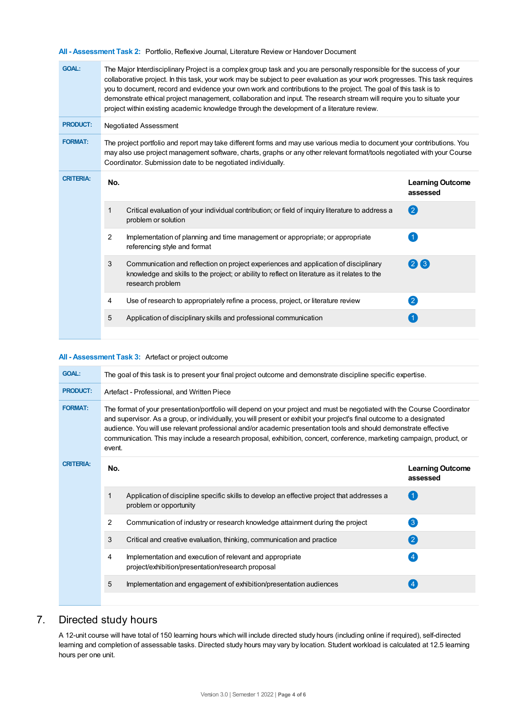**All - Assessment Task 2:** Portfolio, Reflexive Journal, Literature Review or Handover Document

| <b>GOAL:</b>     | The Major Interdisciplinary Project is a complex group task and you are personally responsible for the success of your<br>collaborative project. In this task, your work may be subject to peer evaluation as your work progresses. This task requires<br>you to document, record and evidence your own work and contributions to the project. The goal of this task is to<br>demonstrate ethical project management, collaboration and input. The research stream will require you to situate your<br>project within existing academic knowledge through the development of a literature review. |                                                                                                                                                                                                          |                                     |  |  |
|------------------|---------------------------------------------------------------------------------------------------------------------------------------------------------------------------------------------------------------------------------------------------------------------------------------------------------------------------------------------------------------------------------------------------------------------------------------------------------------------------------------------------------------------------------------------------------------------------------------------------|----------------------------------------------------------------------------------------------------------------------------------------------------------------------------------------------------------|-------------------------------------|--|--|
| <b>PRODUCT:</b>  | <b>Negotiated Assessment</b>                                                                                                                                                                                                                                                                                                                                                                                                                                                                                                                                                                      |                                                                                                                                                                                                          |                                     |  |  |
| <b>FORMAT:</b>   | The project portfolio and report may take different forms and may use various media to document your contributions. You<br>may also use project management software, charts, graphs or any other relevant format/tools negotiated with your Course<br>Coordinator. Submission date to be negotiated individually.                                                                                                                                                                                                                                                                                 |                                                                                                                                                                                                          |                                     |  |  |
| <b>CRITERIA:</b> | No.                                                                                                                                                                                                                                                                                                                                                                                                                                                                                                                                                                                               |                                                                                                                                                                                                          | <b>Learning Outcome</b><br>assessed |  |  |
|                  | 1                                                                                                                                                                                                                                                                                                                                                                                                                                                                                                                                                                                                 | Critical evaluation of your individual contribution; or field of inquiry literature to address a<br>problem or solution                                                                                  | 2                                   |  |  |
|                  | 2                                                                                                                                                                                                                                                                                                                                                                                                                                                                                                                                                                                                 | Implementation of planning and time management or appropriate; or appropriate<br>referencing style and format                                                                                            |                                     |  |  |
|                  | 3                                                                                                                                                                                                                                                                                                                                                                                                                                                                                                                                                                                                 | Communication and reflection on project experiences and application of disciplinary<br>knowledge and skills to the project; or ability to reflect on literature as it relates to the<br>research problem | (2)3                                |  |  |
|                  | 4                                                                                                                                                                                                                                                                                                                                                                                                                                                                                                                                                                                                 | Use of research to appropriately refine a process, project, or literature review                                                                                                                         | $\left 2\right\rangle$              |  |  |
|                  | 5                                                                                                                                                                                                                                                                                                                                                                                                                                                                                                                                                                                                 | Application of disciplinary skills and professional communication                                                                                                                                        |                                     |  |  |
|                  |                                                                                                                                                                                                                                                                                                                                                                                                                                                                                                                                                                                                   |                                                                                                                                                                                                          |                                     |  |  |

## **All - Assessment Task 3:** Artefact or project outcome

| <b>GOAL:</b>     | The goal of this task is to present your final project outcome and demonstrate discipline specific expertise. |                                                                                                                                                                                                                                                                                                                                                                                                                                                                                                |                                     |  |  |
|------------------|---------------------------------------------------------------------------------------------------------------|------------------------------------------------------------------------------------------------------------------------------------------------------------------------------------------------------------------------------------------------------------------------------------------------------------------------------------------------------------------------------------------------------------------------------------------------------------------------------------------------|-------------------------------------|--|--|
| <b>PRODUCT:</b>  | Artefact - Professional, and Written Piece                                                                    |                                                                                                                                                                                                                                                                                                                                                                                                                                                                                                |                                     |  |  |
| <b>FORMAT:</b>   | event.                                                                                                        | The format of your presentation/portfolio will depend on your project and must be negotiated with the Course Coordinator<br>and supervisor. As a group, or individually, you will present or exhibit your project's final outcome to a designated<br>audience. You will use relevant professional and/or academic presentation tools and should demonstrate effective<br>communication. This may include a research proposal, exhibition, concert, conference, marketing campaign, product, or |                                     |  |  |
| <b>CRITERIA:</b> | No.                                                                                                           |                                                                                                                                                                                                                                                                                                                                                                                                                                                                                                | <b>Learning Outcome</b><br>assessed |  |  |
|                  | 1                                                                                                             | Application of discipline specific skills to develop an effective project that addresses a<br>problem or opportunity                                                                                                                                                                                                                                                                                                                                                                           | $\left( 1 \right)$                  |  |  |
|                  | 2                                                                                                             | Communication of industry or research knowledge attainment during the project                                                                                                                                                                                                                                                                                                                                                                                                                  | $\left(3\right)$                    |  |  |
|                  | 3                                                                                                             | Critical and creative evaluation, thinking, communication and practice                                                                                                                                                                                                                                                                                                                                                                                                                         | $\left( 2\right)$                   |  |  |
|                  | 4                                                                                                             | Implementation and execution of relevant and appropriate<br>project/exhibition/presentation/research proposal                                                                                                                                                                                                                                                                                                                                                                                  | $\overline{4}$                      |  |  |
|                  | 5                                                                                                             | Implementation and engagement of exhibition/presentation audiences                                                                                                                                                                                                                                                                                                                                                                                                                             | $\overline{4}$                      |  |  |
|                  |                                                                                                               |                                                                                                                                                                                                                                                                                                                                                                                                                                                                                                |                                     |  |  |

# 7. Directed study hours

A 12-unit course will have total of 150 learning hours which will include directed study hours (including online if required), self-directed learning and completion of assessable tasks. Directed study hours may vary by location. Student workload is calculated at 12.5 learning hours per one unit.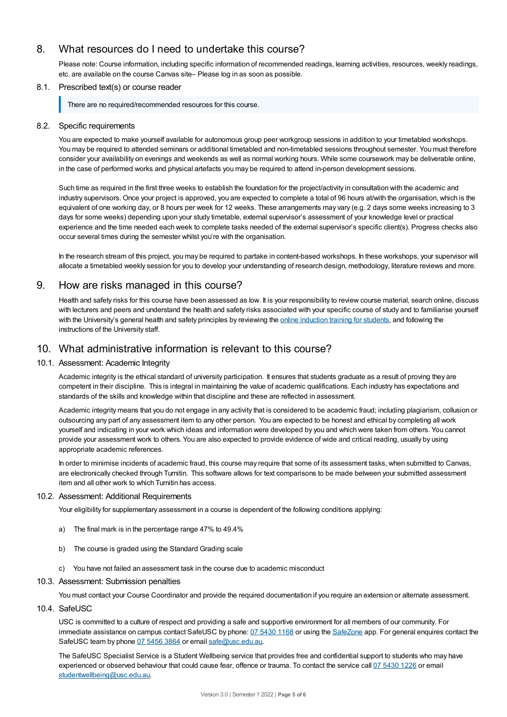# 8. What resources do I need to undertake this course?

Please note: Course information, including specific information of recommended readings, learning activities, resources, weekly readings, etc. are available on the course Canvas site– Please log in as soon as possible.

## 8.1. Prescribed text(s) or course reader

There are no required/recommended resources for this course.

## 8.2. Specific requirements

You are expected to make yourself available for autonomous group peer workgroup sessions in addition to your timetabled workshops. You may be required to attended seminars or additional timetabled and non-timetabled sessions throughout semester. You must therefore consider your availability on evenings and weekends as well as normal working hours. While some coursework may be deliverable online, in the case of performed works and physical artefacts you may be required to attend in-person development sessions.

Such time as required in the first three weeks to establish the foundation for the project/activity in consultation with the academic and industry supervisors. Once your project is approved, you are expected to complete a total of 96 hours at/with the organisation, which is the equivalent of one working day, or 8 hours per week for 12 weeks. These arrangements may vary (e.g. 2 days some weeks increasing to 3 days for some weeks) depending upon your study timetable, external supervisor's assessment of your knowledge level or practical experience and the time needed each week to complete tasks needed of the external supervisor's specific client(s). Progress checks also occur several times during the semester whilst you're with the organisation.

In the research stream of this project, you may be required to partake in content-based workshops. In these workshops, your supervisor will allocate a timetabled weekly session for you to develop your understanding of research design, methodology, literature reviews and more.

## 9. How are risks managed in this course?

Health and safety risks for this course have been assessed as low. It is your responsibility to review course material, search online, discuss with lecturers and peers and understand the health and safety risks associated with your specific course of study and to familiarise yourself with the University's general health and safety principles by reviewing the online [induction](https://online.usc.edu.au/webapps/blackboard/content/listContentEditable.jsp?content_id=_632657_1&course_id=_14432_1) training for students, and following the instructions of the University staff.

# 10. What administrative information is relevant to this course?

### 10.1. Assessment: Academic Integrity

Academic integrity is the ethical standard of university participation. It ensures that students graduate as a result of proving they are competent in their discipline. This is integral in maintaining the value of academic qualifications. Each industry has expectations and standards of the skills and knowledge within that discipline and these are reflected in assessment.

Academic integrity means that you do not engage in any activity that is considered to be academic fraud; including plagiarism, collusion or outsourcing any part of any assessment item to any other person. You are expected to be honest and ethical by completing all work yourself and indicating in your work which ideas and information were developed by you and which were taken from others. You cannot provide your assessment work to others.You are also expected to provide evidence of wide and critical reading, usually by using appropriate academic references.

In order to minimise incidents of academic fraud, this course may require that some of its assessment tasks, when submitted to Canvas, are electronically checked through Turnitin. This software allows for text comparisons to be made between your submitted assessment item and all other work to which Turnitin has access.

### 10.2. Assessment: Additional Requirements

Your eligibility for supplementary assessment in a course is dependent of the following conditions applying:

- a) The final mark is in the percentage range 47% to 49.4%
- b) The course is graded using the Standard Grading scale
- c) You have not failed an assessment task in the course due to academic misconduct

## 10.3. Assessment: Submission penalties

You must contact your Course Coordinator and provide the required documentation if you require an extension or alternate assessment.

## 10.4. SafeUSC

USC is committed to a culture of respect and providing a safe and supportive environment for all members of our community. For immediate assistance on campus contact SafeUSC by phone: 07 [5430](tel:07%205430%201168) 1168 or using the [SafeZone](https://www.safezoneapp.com) app. For general enquires contact the SafeUSC team by phone 07 [5456](tel:07%205456%203864) 3864 or email [safe@usc.edu.au](mailto:safe@usc.edu.au).

The SafeUSC Specialist Service is a Student Wellbeing service that provides free and confidential support to students who may have experienced or observed behaviour that could cause fear, offence or trauma. To contact the service call 07 [5430](tel:07%205430%201226) 1226 or email [studentwellbeing@usc.edu.au](mailto:studentwellbeing@usc.edu.au).